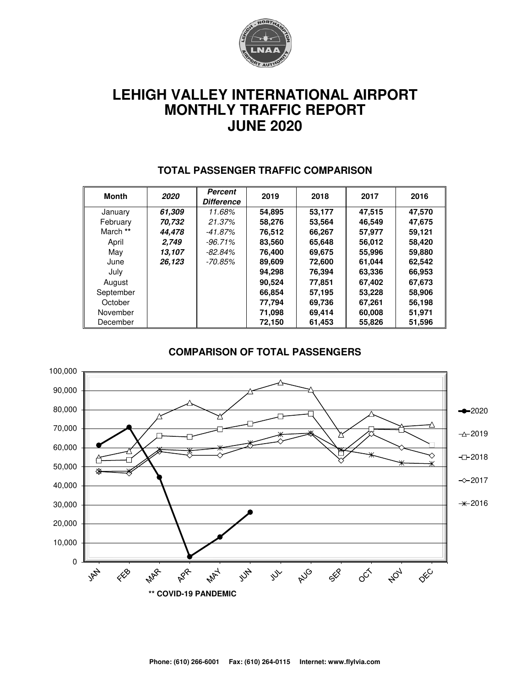

# **LEHIGH VALLEY INTERNATIONAL AIRPORT MONTHLY TRAFFIC REPORT JUNE 2020**

| Month     | 2020   | Percent<br><b>Difference</b> | 2019   | 2018   | 2017   | 2016   |
|-----------|--------|------------------------------|--------|--------|--------|--------|
| January   | 61.309 | 11.68%                       | 54,895 | 53,177 | 47,515 | 47,570 |
| February  | 70.732 | 21.37%                       | 58,276 | 53,564 | 46.549 | 47,675 |
| March **  | 44.478 | $-41.87\%$                   | 76.512 | 66,267 | 57,977 | 59.121 |
| April     | 2,749  | $-96.71\%$                   | 83,560 | 65,648 | 56,012 | 58,420 |
| May       | 13,107 | $-82.84\%$                   | 76.400 | 69,675 | 55,996 | 59,880 |
| June      | 26,123 | -70.85%                      | 89,609 | 72,600 | 61,044 | 62,542 |
| July      |        |                              | 94,298 | 76,394 | 63,336 | 66,953 |
| August    |        |                              | 90.524 | 77,851 | 67,402 | 67,673 |
| September |        |                              | 66,854 | 57,195 | 53,228 | 58,906 |
| October   |        |                              | 77.794 | 69.736 | 67,261 | 56,198 |
| November  |        |                              | 71,098 | 69,414 | 60,008 | 51,971 |
| December  |        |                              | 72,150 | 61,453 | 55,826 | 51,596 |

#### **TOTAL PASSENGER TRAFFIC COMPARISON**

#### **COMPARISON OF TOTAL PASSENGERS**

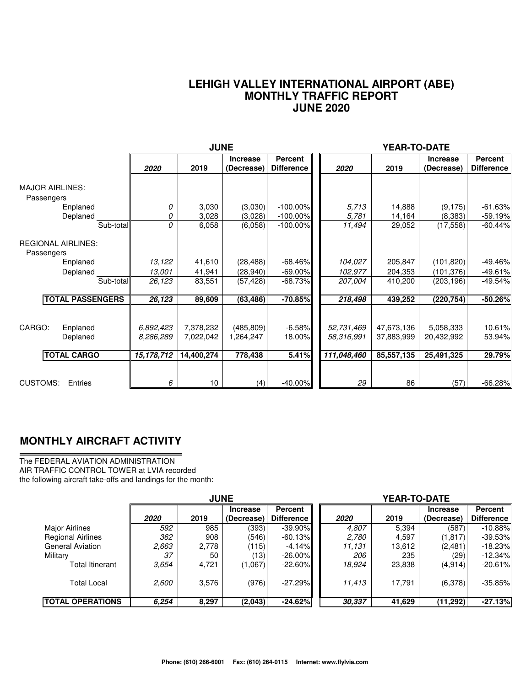#### **LEHIGH VALLEY INTERNATIONAL AIRPORT (ABE) MONTHLY TRAFFIC REPORT JUNE 2020**

|                                                      |                                      | <b>JUNE</b>                          |                                    |                                     | YEAR-TO-DATE                            |                                        |                                       |                              |
|------------------------------------------------------|--------------------------------------|--------------------------------------|------------------------------------|-------------------------------------|-----------------------------------------|----------------------------------------|---------------------------------------|------------------------------|
|                                                      | 2020                                 | 2019                                 | <b>Increase</b><br>(Decrease)      | <b>Percent</b><br><b>Difference</b> | 2020                                    | 2019                                   | <b>Increase</b><br>(Decrease)         | Percent<br><b>Difference</b> |
| <b>MAJOR AIRLINES:</b><br>Passengers                 |                                      |                                      |                                    |                                     |                                         |                                        |                                       |                              |
| Enplaned<br>Deplaned                                 | 0<br>0                               | 3,030<br>3,028                       | (3,030)<br>(3,028)                 | $-100.00\%$<br>$-100.00\%$          | 5,713<br>5,781                          | 14,888<br>14,164                       | (9, 175)<br>(8,383)                   | $-61.63%$<br>$-59.19%$       |
| Sub-total                                            | 0                                    | 6,058                                | (6,058)                            | $-100.00\%$                         | 11,494                                  | 29,052                                 | (17, 558)                             | $-60.44%$                    |
| <b>REGIONAL AIRLINES:</b><br>Passengers              |                                      |                                      |                                    |                                     |                                         |                                        |                                       |                              |
| Enplaned                                             | 13,122                               | 41,610                               | (28, 488)                          | $-68.46%$                           | 104,027                                 | 205,847                                | (101, 820)                            | $-49.46%$                    |
| Deplaned                                             | 13,001                               | 41,941                               | (28,940)                           | $-69.00\%$                          | 102,977                                 | 204,353                                | (101, 376)                            | $-49.61%$                    |
| $\overline{\text{Sub-total}}$                        | 26,123                               | 83,551                               | (57, 428)                          | $-68.73%$                           | 207,004                                 | 410,200                                | (203, 196)                            | $-49.54%$                    |
| <b>TOTAL PASSENGERS</b>                              | 26,123                               | 89,609                               | (63, 486)                          | $-70.85%$                           | 218,498                                 | 439,252                                | (220, 754)                            | $-50.26%$                    |
| CARGO:<br>Enplaned<br>Deplaned<br><b>TOTAL CARGO</b> | 6,892,423<br>8,286,289<br>15,178,712 | 7,378,232<br>7,022,042<br>14,400,274 | (485, 809)<br>1,264,247<br>778,438 | $-6.58%$<br>18.00%<br>5.41%         | 52,731,469<br>58.316.991<br>111,048,460 | 47,673,136<br>37,883,999<br>85,557,135 | 5,058,333<br>20,432,992<br>25,491,325 | 10.61%<br>53.94%<br>29.79%   |
|                                                      |                                      |                                      |                                    |                                     |                                         |                                        |                                       |                              |
| <b>CUSTOMS:</b><br>Entries                           | 6                                    | 10 <sup>°</sup>                      | (4)                                | $-40.00%$                           | 29                                      | 86                                     | (57)                                  | $-66.28%$                    |

### **MONTHLY AIRCRAFT ACTIVITY**

The FEDERAL AVIATION ADMINISTRATION AIR TRAFFIC CONTROL TOWER at LVIA recorded the following aircraft take-offs and landings for the month:

|                          | <b>JUNE</b> |       |                               |                                     | <b>YEAR-TO-DATE</b> |        |                               |                              |  |  |
|--------------------------|-------------|-------|-------------------------------|-------------------------------------|---------------------|--------|-------------------------------|------------------------------|--|--|
|                          | 2020        | 2019  | <b>Increase</b><br>(Decrease) | <b>Percent</b><br><b>Difference</b> | 2020                | 2019   | <b>Increase</b><br>(Decrease) | Percent<br><b>Difference</b> |  |  |
| Major Airlines           | 592         | 985   | (393)                         | $-39.90\%$                          | 4,807               | 5,394  | (587)                         | $-10.88%$                    |  |  |
| <b>Regional Airlines</b> | 362         | 908   | (546)                         | $-60.13%$                           | 2,780               | 4,597  | (1, 817)                      | $-39.53\%$                   |  |  |
| <b>General Aviation</b>  | 2,663       | 2,778 | (115)                         | $-4.14%$                            | 11.131              | 13,612 | (2,481)                       | $-18.23\%$                   |  |  |
| Military                 | 37          | 50    | 13)                           | $-26.00\%$                          | 206                 | 235    | (29)                          | $-12.34%$                    |  |  |
| Total Itinerant          | 3.654       | 4.721 | (1,067)                       | $-22.60\%$                          | 18,924              | 23,838 | (4, 914)                      | $-20.61%$                    |  |  |
| <b>Total Local</b>       | 2,600       | 3,576 | (976)                         | $-27.29\%$                          | 11,413              | 17,791 | (6,378)                       | $-35.85\%$                   |  |  |
| <b>TOTAL OPERATIONS</b>  | 6,254       | 8,297 | (2,043)                       | $-24.62%$                           | 30,337              | 41,629 | (11, 292)                     | $-27.13%$                    |  |  |